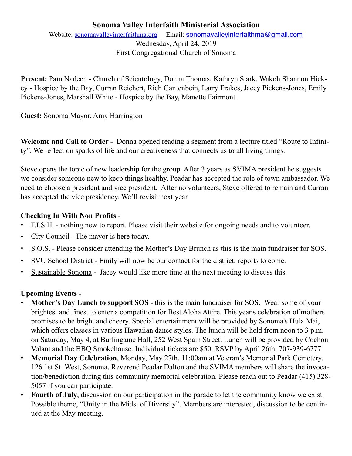# **Sonoma Valley Interfaith Ministerial Association**

Website: [sonomavalleyinterfaithma.org](http://sonomavalleyinterfaithma.org) Email: [sonomavalleyinterfaithma@gmail.com](mailto:sonomavalleyinterfaithma@gmail.com) Wednesday, April 24, 2019 First Congregational Church of Sonoma

**Present:** Pam Nadeen - Church of Scientology, Donna Thomas, Kathryn Stark, Wakoh Shannon Hickey - Hospice by the Bay, Curran Reichert, Rich Gantenbein, Larry Frakes, Jacey Pickens-Jones, Emily Pickens-Jones, Marshall White - Hospice by the Bay, Manette Fairmont.

**Guest:** Sonoma Mayor, Amy Harrington

**Welcome and Call to Order -** Donna opened reading a segment from a lecture titled "Route to Infinity". We reflect on sparks of life and our creativeness that connects us to all living things.

Steve opens the topic of new leadership for the group. After 3 years as SVIMA president he suggests we consider someone new to keep things healthy. Peadar has accepted the role of town ambassador. We need to choose a president and vice president. After no volunteers, Steve offered to remain and Curran has accepted the vice presidency. We'll revisit next year.

# **Checking In With Non Profits** -

- **•** F.I.S.H. nothing new to report. Please visit their website for ongoing needs and to volunteer.
- **•** City Council The mayor is here today.
- **•** S.O.S. Please consider attending the Mother's Day Brunch as this is the main fundraiser for SOS.
- **•** SVU School District Emily will now be our contact for the district, reports to come.
- **•** Sustainable Sonoma Jacey would like more time at the next meeting to discuss this.

# **Upcoming Events -**

- **Mother's Day Lunch to support SOS** this is the main fundraiser for SOS. Wear some of your brightest and finest to enter a competition for Best Aloha Attire. This year's celebration of mothers promises to be bright and cheery. Special entertainment will be provided by Sonoma's Hula Mai, which offers classes in various Hawaiian dance styles. The lunch will be held from noon to 3 p.m. on Saturday, May 4, at Burlingame Hall, 252 West Spain Street. Lunch will be provided by Cochon Volant and the BBQ Smokehouse. Individual tickets are \$50. RSVP by April 26th. 707-939-6777
- **Memorial Day Celebration**, Monday, May 27th, 11:00am at Veteran's Memorial Park Cemetery, 126 1st St. West, Sonoma. Reverend Peadar Dalton and the SVIMA members will share the invocation/benediction during this community memorial celebration. Please reach out to Peadar (415) 328- 5057 if you can participate.
- **Fourth of July**, discussion on our participation in the parade to let the community know we exist. Possible theme, "Unity in the Midst of Diversity". Members are interested, discussion to be continued at the May meeting.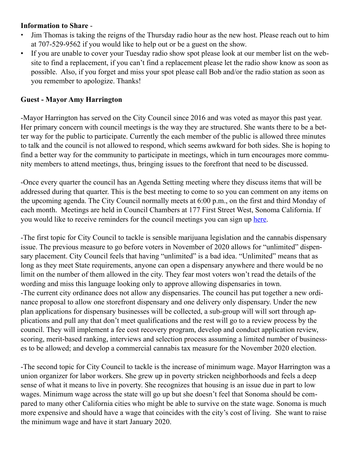#### **Information to Share** -

- Jim Thomas is taking the reigns of the Thursday radio hour as the new host. Please reach out to him at 707-529-9562 if you would like to help out or be a guest on the show.
- If you are unable to cover your Tuesday radio show spot please look at our member list on the website to find a replacement, if you can't find a replacement please let the radio show know as soon as possible. Also, if you forget and miss your spot please call Bob and/or the radio station as soon as you remember to apologize. Thanks!

#### **Guest - Mayor Amy Harrington**

-Mayor Harrington has served on the City Council since 2016 and was voted as mayor this past year. Her primary concern with council meetings is the way they are structured. She wants there to be a better way for the public to participate. Currently the each member of the public is allowed three minutes to talk and the council is not allowed to respond, which seems awkward for both sides. She is hoping to find a better way for the community to participate in meetings, which in turn encourages more community members to attend meetings, thus, bringing issues to the forefront that need to be discussed.

-Once every quarter the council has an Agenda Setting meeting where they discuss items that will be addressed during that quarter. This is the best meeting to come to so you can comment on any items on the upcoming agenda. The City Council normally meets at 6:00 p.m., on the first and third Monday of each month. Meetings are held in Council Chambers at 177 First Street West, Sonoma California. If you would like to receive reminders for the council meetings you can sign up [here](https://sonomacity.civicweb.net/Portal/Subscribe.aspx).

-The first topic for City Council to tackle is sensible marijuana legislation and the cannabis dispensary issue. The previous measure to go before voters in November of 2020 allows for "unlimited" dispensary placement. City Council feels that having "unlimited" is a bad idea. "Unlimited" means that as long as they meet State requirements, anyone can open a dispensary anywhere and there would be no limit on the number of them allowed in the city. They fear most voters won't read the details of the wording and miss this language looking only to approve allowing dispensaries in town. -The current city ordinance does not allow any dispensaries. The council has put together a new ordinance proposal to allow one storefront dispensary and one delivery only dispensary. Under the new plan applications for dispensary businesses will be collected, a sub-group will will sort through applications and pull any that don't meet qualifications and the rest will go to a review process by the council. They will implement a fee cost recovery program, develop and conduct application review, scoring, merit-based ranking, interviews and selection process assuming a limited number of businesses to be allowed; and develop a commercial cannabis tax measure for the November 2020 election.

-The second topic for City Council to tackle is the increase of minimum wage. Mayor Harrington was a union organizer for labor workers. She grew up in poverty stricken neighborhoods and feels a deep sense of what it means to live in poverty. She recognizes that housing is an issue due in part to low wages. Minimum wage across the state will go up but she doesn't feel that Sonoma should be compared to many other California cities who might be able to survive on the state wage. Sonoma is much more expensive and should have a wage that coincides with the city's cost of living. She want to raise the minimum wage and have it start January 2020.